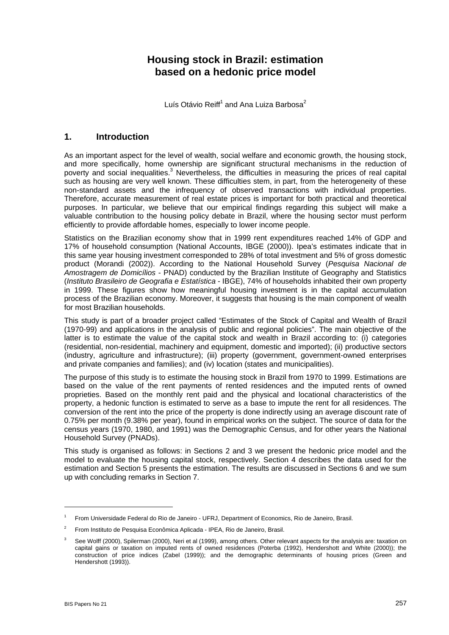# **Housing stock in Brazil: estimation based on a hedonic price model**

Luís Otávio Reiff $^1$  $^1$  and Ana Luiza Barbosa $^2$  $^2$ 

### **1. Introduction**

As an important aspect for the level of wealth, social welfare and economic growth, the housing stock, and more specifically, home ownership are significant structural mechanisms in the reduction of poverty and social inequalities.<sup>3</sup> Nevertheless, the difficulties in measuring the prices of real capital such as housing are very well known. These difficulties stem, in part, from the heterogeneity of these non-standard assets and the infrequency of observed transactions with individual properties. Therefore, accurate measurement of real estate prices is important for both practical and theoretical purposes. In particular, we believe that our empirical findings regarding this subject will make a valuable contribution to the housing policy debate in Brazil, where the housing sector must perform efficiently to provide affordable homes, especially to lower income people.

Statistics on the Brazilian economy show that in 1999 rent expenditures reached 14% of GDP and 17% of household consumption (National Accounts, IBGE (2000)). Ipea's estimates indicate that in this same year housing investment corresponded to 28% of total investment and 5% of gross domestic product (Morandi (2002)). According to the National Household Survey (*Pesquisa Nacional de Amostragem de Domicílios* - PNAD) conducted by the Brazilian Institute of Geography and Statistics (*Instituto Brasileiro de Geografia e Estatística* - IBGE), 74% of households inhabited their own property in 1999. These figures show how meaningful housing investment is in the capital accumulation process of the Brazilian economy. Moreover, it suggests that housing is the main component of wealth for most Brazilian households.

This study is part of a broader project called "Estimates of the Stock of Capital and Wealth of Brazil (1970-99) and applications in the analysis of public and regional policies". The main objective of the latter is to estimate the value of the capital stock and wealth in Brazil according to: (i) categories (residential, non-residential, machinery and equipment, domestic and imported); (ii) productive sectors (industry, agriculture and infrastructure); (iii) property (government, government-owned enterprises and private companies and families); and (iv) location (states and municipalities).

The purpose of this study is to estimate the housing stock in Brazil from 1970 to 1999. Estimations are based on the value of the rent payments of rented residences and the imputed rents of owned proprieties. Based on the monthly rent paid and the physical and locational characteristics of the property, a hedonic function is estimated to serve as a base to impute the rent for all residences. The conversion of the rent into the price of the property is done indirectly using an average discount rate of 0.75% per month (9.38% per year), found in empirical works on the subject. The source of data for the census years (1970, 1980, and 1991) was the Demographic Census, and for other years the National Household Survey (PNADs).

This study is organised as follows: in Sections 2 and 3 we present the hedonic price model and the model to evaluate the housing capital stock, respectively. Section 4 describes the data used for the estimation and Section 5 presents the estimation. The results are discussed in Sections 6 and we sum up with concluding remarks in Section 7.

l

<span id="page-0-0"></span><sup>1</sup> From Universidade Federal do Rio de Janeiro - UFRJ, Department of Economics, Rio de Janeiro, Brasil.

<span id="page-0-1"></span><sup>2</sup> From Instituto de Pesquisa Econômica Aplicada - IPEA, Rio de Janeiro, Brasil.

<span id="page-0-2"></span><sup>&</sup>lt;sup>3</sup> See Wolff (2000), Spilerman (2000), Neri et al (1999), among others. Other relevant aspects for the analysis are: taxation on capital gains or taxation on imputed rents of owned residences (Poterba (1992), Hendershott and White (2000)); the construction of price indices (Zabel (1999)); and the demographic determinants of housing prices (Green and Hendershott (1993)).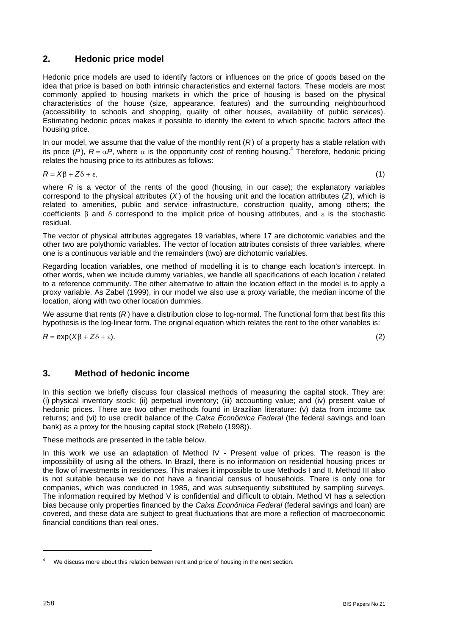### **2. Hedonic price model**

Hedonic price models are used to identify factors or influences on the price of goods based on the idea that price is based on both intrinsic characteristics and external factors. These models are most commonly applied to housing markets in which the price of housing is based on the physical characteristics of the house (size, appearance, features) and the surrounding neighbourhood (accessibility to schools and shopping, quality of other houses, availability of public services). Estimating hedonic prices makes it possible to identify the extent to which specific factors affect the housing price.

In our model, we assume that the value of the monthly rent  $(R)$  of a property has a stable relation with itsprice (P),  $R = \alpha P$ , where  $\alpha$  is the opportunity cost of renting housing.<sup>4</sup> Therefore, hedonic pricing relates the housing price to its attributes as follows:

$$
R = X\beta + Z\delta + \varepsilon,\tag{1}
$$

where *R* is a vector of the rents of the good (housing, in our case); the explanatory variables correspond to the physical attributes (*X* ) of the housing unit and the location attributes (*Z*), which is related to amenities, public and service infrastructure, construction quality, among others; the coefficients β and δ correspond to the implicit price of housing attributes, and ε is the stochastic residual.

The vector of physical attributes aggregates 19 variables, where 17 are dichotomic variables and the other two are polythomic variables. The vector of location attributes consists of three variables, where one is a continuous variable and the remainders (two) are dichotomic variables.

Regarding location variables, one method of modelling it is to change each location's intercept. In other words, when we include dummy variables, we handle all specifications of each location *i* related to a reference community. The other alternative to attain the location effect in the model is to apply a proxy variable. As Zabel (1999), in our model we also use a proxy variable, the median income of the location, along with two other location dummies.

We assume that rents (*R*) have a distribution close to log-normal. The functional form that best fits this hypothesis is the log-linear form. The original equation which relates the rent to the other variables is:

 $R = \exp(X\beta + Z\delta + \varepsilon).$  (2)

# **3. Method of hedonic income**

In this section we briefly discuss four classical methods of measuring the capital stock. They are: (i) physical inventory stock; (ii) perpetual inventory; (iii) accounting value; and (iv) present value of hedonic prices. There are two other methods found in Brazilian literature: (v) data from income tax returns; and (vi) to use credit balance of the *Caixa Econômica Federal* (the federal savings and loan bank) as a proxy for the housing capital stock (Rebelo (1998)).

These methods are presented in the table below.

In this work we use an adaptation of Method IV - Present value of prices. The reason is the impossibility of using all the others. In Brazil, there is no information on residential housing prices or the flow of investments in residences. This makes it impossible to use Methods I and II. Method III also is not suitable because we do not have a financial census of households. There is only one for companies, which was conducted in 1985, and was subsequently substituted by sampling surveys. The information required by Method V is confidential and difficult to obtain. Method VI has a selection bias because only properties financed by the *Caixa Econômica Federal* (federal savings and loan) are covered, and these data are subject to great fluctuations that are more a reflection of macroeconomic financial conditions than real ones.

l

<span id="page-1-0"></span>We discuss more about this relation between rent and price of housing in the next section.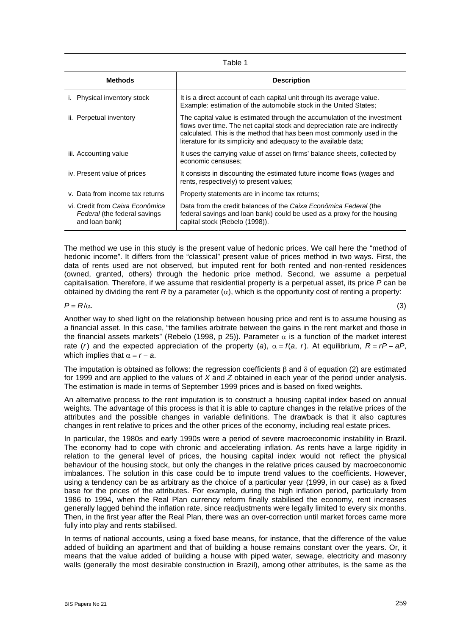| Table 1                                                                           |                                                                                                                                                                                                                                                                                                         |  |  |  |
|-----------------------------------------------------------------------------------|---------------------------------------------------------------------------------------------------------------------------------------------------------------------------------------------------------------------------------------------------------------------------------------------------------|--|--|--|
| <b>Methods</b>                                                                    | <b>Description</b>                                                                                                                                                                                                                                                                                      |  |  |  |
| Physical inventory stock                                                          | It is a direct account of each capital unit through its average value.<br>Example: estimation of the automobile stock in the United States;                                                                                                                                                             |  |  |  |
| ii. Perpetual inventory                                                           | The capital value is estimated through the accumulation of the investment<br>flows over time. The net capital stock and depreciation rate are indirectly<br>calculated. This is the method that has been most commonly used in the<br>literature for its simplicity and adequacy to the available data; |  |  |  |
| iii. Accounting value                                                             | It uses the carrying value of asset on firms' balance sheets, collected by<br>economic censuses;                                                                                                                                                                                                        |  |  |  |
| iv. Present value of prices                                                       | It consists in discounting the estimated future income flows (wages and<br>rents, respectively) to present values;                                                                                                                                                                                      |  |  |  |
| v. Data from income tax returns                                                   | Property statements are in income tax returns;                                                                                                                                                                                                                                                          |  |  |  |
| vi. Credit from Caixa Econômica<br>Federal (the federal savings<br>and loan bank) | Data from the credit balances of the Caixa Econômica Federal (the<br>federal savings and loan bank) could be used as a proxy for the housing<br>capital stock (Rebelo (1998)).                                                                                                                          |  |  |  |

The method we use in this study is the present value of hedonic prices. We call here the "method of hedonic income". It differs from the "classical" present value of prices method in two ways. First, the data of rents used are not observed, but imputed rent for both rented and non-rented residences (owned, granted, others) through the hedonic price method. Second, we assume a perpetual capitalisation. Therefore, if we assume that residential property is a perpetual asset, its price *P* can be obtained by dividing the rent *R* by a parameter  $(α)$ , which is the opportunity cost of renting a property:

 $P = R/\alpha$ . (3)

Another way to shed light on the relationship between housing price and rent is to assume housing as a financial asset. In this case, "the families arbitrate between the gains in the rent market and those in the financial assets markets" (Rebelo (1998, p 25)). Parameter  $\alpha$  is a function of the market interest rate (*r*) and the expected appreciation of the property (*a*),  $\alpha = f(a, r)$ . At equilibrium,  $R = rP - aP$ , which implies that  $\alpha = r - a$ .

The imputation is obtained as follows: the regression coefficients β and δ of equation (2) are estimated for 1999 and are applied to the values of *X* and *Z* obtained in each year of the period under analysis. The estimation is made in terms of September 1999 prices and is based on fixed weights.

An alternative process to the rent imputation is to construct a housing capital index based on annual weights. The advantage of this process is that it is able to capture changes in the relative prices of the attributes and the possible changes in variable definitions. The drawback is that it also captures changes in rent relative to prices and the other prices of the economy, including real estate prices.

In particular, the 1980s and early 1990s were a period of severe macroeconomic instability in Brazil. The economy had to cope with chronic and accelerating inflation. As rents have a large rigidity in relation to the general level of prices, the housing capital index would not reflect the physical behaviour of the housing stock, but only the changes in the relative prices caused by macroeconomic imbalances. The solution in this case could be to impute trend values to the coefficients. However, using a tendency can be as arbitrary as the choice of a particular year (1999, in our case) as a fixed base for the prices of the attributes. For example, during the high inflation period, particularly from 1986 to 1994, when the Real Plan currency reform finally stabilised the economy, rent increases generally lagged behind the inflation rate, since readjustments were legally limited to every six months. Then, in the first year after the Real Plan, there was an over-correction until market forces came more fully into play and rents stabilised.

In terms of national accounts, using a fixed base means, for instance, that the difference of the value added of building an apartment and that of building a house remains constant over the years. Or, it means that the value added of building a house with piped water, sewage, electricity and masonry walls (generally the most desirable construction in Brazil), among other attributes, is the same as the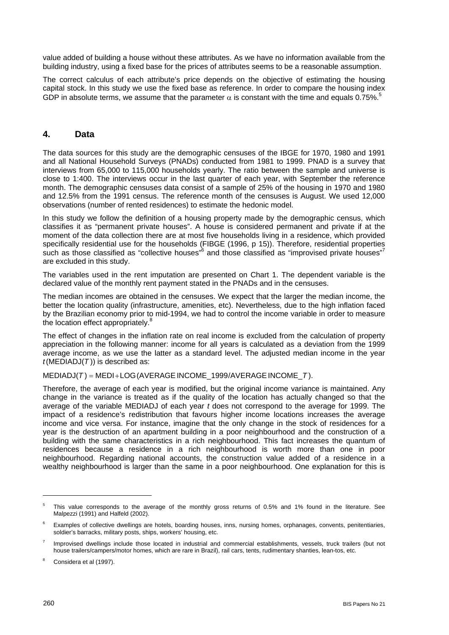value added of building a house without these attributes. As we have no information available from the building industry, using a fixed base for the prices of attributes seems to be a reasonable assumption.

The correct calculus of each attribute's price depends on the objective of estimating the housing capital stock. In this study we use the fixed base as reference. In order to compare the housing index GDP in absolute terms, we assume that the parameter  $\alpha$  is constant with the time and equals 0.7[5](#page-3-0)%.<sup>5</sup>

#### **4. Data**

The data sources for this study are the demographic censuses of the IBGE for 1970, 1980 and 1991 and all National Household Surveys (PNADs) conducted from 1981 to 1999. PNAD is a survey that interviews from 65,000 to 115,000 households yearly. The ratio between the sample and universe is close to 1:400. The interviews occur in the last quarter of each year, with September the reference month. The demographic censuses data consist of a sample of 25% of the housing in 1970 and 1980 and 12.5% from the 1991 census. The reference month of the censuses is August. We used 12,000 observations (number of rented residences) to estimate the hedonic model.

In this study we follow the definition of a housing property made by the demographic census, which classifies it as "permanent private houses". A house is considered permanent and private if at the moment of the data collection there are at most five households living in a residence, which provided specifically residential use for the households (FIBGE (1996, p 15)). Therefore, residential properties such as those classified as "collective houses" $6$  and those classified as "improvised private houses"<sup>[7](#page-3-2)</sup> are excluded in this study.

The variables used in the rent imputation are presented on Chart 1. The dependent variable is the declared value of the monthly rent payment stated in the PNADs and in the censuses.

The median incomes are obtained in the censuses. We expect that the larger the median income, the better the location quality (infrastructure, amenities, etc). Nevertheless, due to the high inflation faced by the Brazilian economy prior to mid-1994, we had to control the income variable in order to measure the location effect appropriately.<sup>[8](#page-3-3)</sup>

The effect of changes in the inflation rate on real income is excluded from the calculation of property appreciation in the following manner: income for all years is calculated as a deviation from the 1999 average income, as we use the latter as a standard level. The adjusted median income in the year  $t$ (MEDIADJ $(T)$ ) is described as:

MEDIADJ(*T* ) = MEDI+LOG(AVERAGEINCOME\_1999/AVERAGEINCOME\_*T* ).

Therefore, the average of each year is modified, but the original income variance is maintained. Any change in the variance is treated as if the quality of the location has actually changed so that the average of the variable MEDIADJ of each year *t* does not correspond to the average for 1999. The impact of a residence's redistribution that favours higher income locations increases the average income and vice versa. For instance, imagine that the only change in the stock of residences for a year is the destruction of an apartment building in a poor neighbourhood and the construction of a building with the same characteristics in a rich neighbourhood. This fact increases the quantum of residences because a residence in a rich neighbourhood is worth more than one in poor neighbourhood. Regarding national accounts, the construction value added of a residence in a wealthy neighbourhood is larger than the same in a poor neighbourhood. One explanation for this is

l

<span id="page-3-0"></span> $5$  This value corresponds to the average of the monthly gross returns of 0.5% and 1% found in the literature. See Malpezzi (1991) and Halfeld (2002).

<span id="page-3-1"></span>Examples of collective dwellings are hotels, boarding houses, inns, nursing homes, orphanages, convents, penitentiaries, soldier's barracks, military posts, ships, workers' housing, etc.

<span id="page-3-2"></span>Improvised dwellings include those located in industrial and commercial establishments, vessels, truck trailers (but not house trailers/campers/motor homes, which are rare in Brazil), rail cars, tents, rudimentary shanties, lean-tos, etc.

<span id="page-3-3"></span><sup>&</sup>lt;sup>8</sup> Considera et al (1997).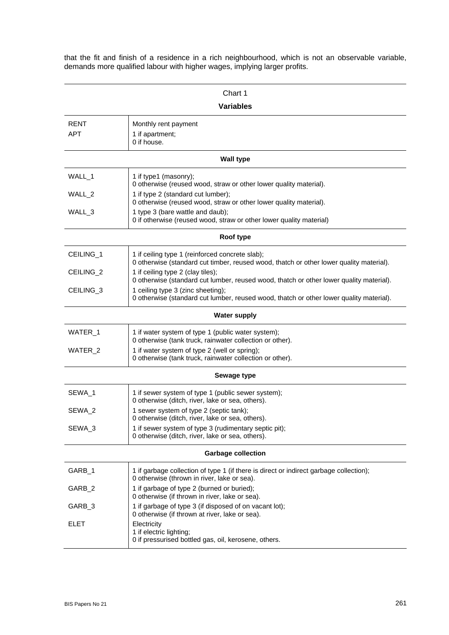that the fit and finish of a residence in a rich neighbourhood, which is not an observable variable, demands more qualified labour with higher wages, implying larger profits.

| Chart 1                   |                                                                                                                                            |  |  |  |  |  |
|---------------------------|--------------------------------------------------------------------------------------------------------------------------------------------|--|--|--|--|--|
| <b>Variables</b>          |                                                                                                                                            |  |  |  |  |  |
| RENT                      | Monthly rent payment                                                                                                                       |  |  |  |  |  |
| APT                       | 1 if apartment;<br>0 if house.                                                                                                             |  |  |  |  |  |
|                           | <b>Wall type</b>                                                                                                                           |  |  |  |  |  |
| WALL_1                    | 1 if type1 (masonry);<br>0 otherwise (reused wood, straw or other lower quality material).                                                 |  |  |  |  |  |
| WALL 2                    | 1 if type 2 (standard cut lumber);<br>0 otherwise (reused wood, straw or other lower quality material).                                    |  |  |  |  |  |
| WALL_3                    | 1 type 3 (bare wattle and daub);<br>0 if otherwise (reused wood, straw or other lower quality material)                                    |  |  |  |  |  |
|                           | Roof type                                                                                                                                  |  |  |  |  |  |
| CEILING_1                 | 1 if ceiling type 1 (reinforced concrete slab);<br>0 otherwise (standard cut timber, reused wood, thatch or other lower quality material). |  |  |  |  |  |
| CEILING_2                 | 1 if ceiling type 2 (clay tiles);<br>0 otherwise (standard cut lumber, reused wood, thatch or other lower quality material).               |  |  |  |  |  |
| CEILING <sub>3</sub>      | 1 ceiling type 3 (zinc sheeting);<br>0 otherwise (standard cut lumber, reused wood, thatch or other lower quality material).               |  |  |  |  |  |
| <b>Water supply</b>       |                                                                                                                                            |  |  |  |  |  |
| WATER_1                   | 1 if water system of type 1 (public water system);<br>0 otherwise (tank truck, rainwater collection or other).                             |  |  |  |  |  |
| WATER_2                   | 1 if water system of type 2 (well or spring);<br>0 otherwise (tank truck, rainwater collection or other).                                  |  |  |  |  |  |
|                           | Sewage type                                                                                                                                |  |  |  |  |  |
| SEWA_1                    | 1 if sewer system of type 1 (public sewer system);<br>0 otherwise (ditch, river, lake or sea, others).                                     |  |  |  |  |  |
| SEWA_2                    | 1 sewer system of type 2 (septic tank);<br>0 otherwise (ditch, river, lake or sea, others).                                                |  |  |  |  |  |
| SEWA_3                    | 1 if sewer system of type 3 (rudimentary septic pit);<br>0 otherwise (ditch, river, lake or sea, others).                                  |  |  |  |  |  |
| <b>Garbage collection</b> |                                                                                                                                            |  |  |  |  |  |
| GARB_1                    | 1 if garbage collection of type 1 (if there is direct or indirect garbage collection);<br>0 otherwise (thrown in river, lake or sea).      |  |  |  |  |  |
| GARB_2                    | 1 if garbage of type 2 (burned or buried);<br>0 otherwise (if thrown in river, lake or sea).                                               |  |  |  |  |  |
| GARB_3                    | 1 if garbage of type 3 (if disposed of on vacant lot);<br>0 otherwise (if thrown at river, lake or sea).                                   |  |  |  |  |  |
| <b>ELET</b>               | Electricity<br>1 if electric lighting;<br>0 if pressurised bottled gas, oil, kerosene, others.                                             |  |  |  |  |  |
|                           |                                                                                                                                            |  |  |  |  |  |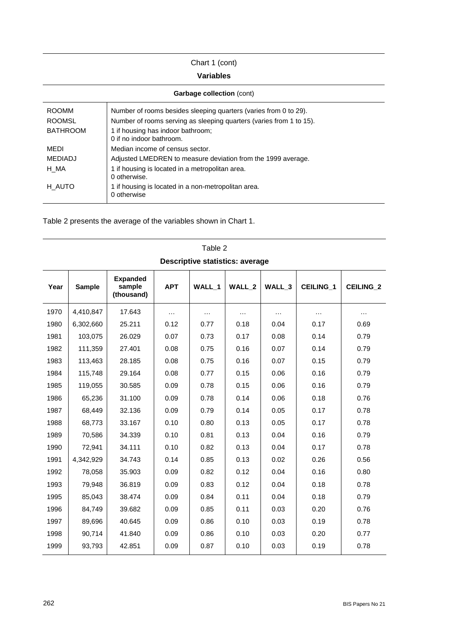### Chart 1 (cont)

#### **Variables**

| <b>Garbage collection (cont)</b> |                                                                     |  |  |  |  |
|----------------------------------|---------------------------------------------------------------------|--|--|--|--|
| <b>ROOMM</b>                     | Number of rooms besides sleeping quarters (varies from 0 to 29).    |  |  |  |  |
| <b>ROOMSL</b>                    | Number of rooms serving as sleeping quarters (varies from 1 to 15). |  |  |  |  |
| <b>BATHROOM</b>                  | 1 if housing has indoor bathroom;<br>0 if no indoor bathroom.       |  |  |  |  |
| MEDI                             | Median income of census sector.                                     |  |  |  |  |
| <b>MEDIADJ</b>                   | Adjusted LMEDREN to measure deviation from the 1999 average.        |  |  |  |  |
| H MA                             | 1 if housing is located in a metropolitan area.<br>0 otherwise.     |  |  |  |  |
| H AUTO                           | 1 if housing is located in a non-metropolitan area.<br>0 otherwise  |  |  |  |  |

Table 2

Table 2 presents the average of the variables shown in Chart 1.

| <b>Descriptive statistics: average</b> |               |                                         |            |          |                   |          |                  |                  |
|----------------------------------------|---------------|-----------------------------------------|------------|----------|-------------------|----------|------------------|------------------|
| Year                                   | <b>Sample</b> | <b>Expanded</b><br>sample<br>(thousand) | <b>APT</b> | WALL 1   | WALL <sub>2</sub> | WALL_3   | <b>CEILING 1</b> | <b>CEILING 2</b> |
| 1970                                   | 4,410,847     | 17.643                                  | $\cdots$   | $\cdots$ | $\cdots$          | $\cdots$ | $\cdots$         | .                |
| 1980                                   | 6,302,660     | 25.211                                  | 0.12       | 0.77     | 0.18              | 0.04     | 0.17             | 0.69             |
| 1981                                   | 103,075       | 26.029                                  | 0.07       | 0.73     | 0.17              | 0.08     | 0.14             | 0.79             |
| 1982                                   | 111,359       | 27.401                                  | 0.08       | 0.75     | 0.16              | 0.07     | 0.14             | 0.79             |
| 1983                                   | 113,463       | 28.185                                  | 0.08       | 0.75     | 0.16              | 0.07     | 0.15             | 0.79             |
| 1984                                   | 115,748       | 29.164                                  | 0.08       | 0.77     | 0.15              | 0.06     | 0.16             | 0.79             |
| 1985                                   | 119,055       | 30.585                                  | 0.09       | 0.78     | 0.15              | 0.06     | 0.16             | 0.79             |
| 1986                                   | 65,236        | 31.100                                  | 0.09       | 0.78     | 0.14              | 0.06     | 0.18             | 0.76             |
| 1987                                   | 68,449        | 32.136                                  | 0.09       | 0.79     | 0.14              | 0.05     | 0.17             | 0.78             |
| 1988                                   | 68,773        | 33.167                                  | 0.10       | 0.80     | 0.13              | 0.05     | 0.17             | 0.78             |
| 1989                                   | 70,586        | 34.339                                  | 0.10       | 0.81     | 0.13              | 0.04     | 0.16             | 0.79             |
| 1990                                   | 72,941        | 34.111                                  | 0.10       | 0.82     | 0.13              | 0.04     | 0.17             | 0.78             |
| 1991                                   | 4,342,929     | 34.743                                  | 0.14       | 0.85     | 0.13              | 0.02     | 0.26             | 0.56             |
| 1992                                   | 78,058        | 35.903                                  | 0.09       | 0.82     | 0.12              | 0.04     | 0.16             | 0.80             |
| 1993                                   | 79,948        | 36.819                                  | 0.09       | 0.83     | 0.12              | 0.04     | 0.18             | 0.78             |
| 1995                                   | 85,043        | 38.474                                  | 0.09       | 0.84     | 0.11              | 0.04     | 0.18             | 0.79             |
| 1996                                   | 84,749        | 39.682                                  | 0.09       | 0.85     | 0.11              | 0.03     | 0.20             | 0.76             |
| 1997                                   | 89,696        | 40.645                                  | 0.09       | 0.86     | 0.10              | 0.03     | 0.19             | 0.78             |
| 1998                                   | 90,714        | 41.840                                  | 0.09       | 0.86     | 0.10              | 0.03     | 0.20             | 0.77             |
| 1999                                   | 93,793        | 42.851                                  | 0.09       | 0.87     | 0.10              | 0.03     | 0.19             | 0.78             |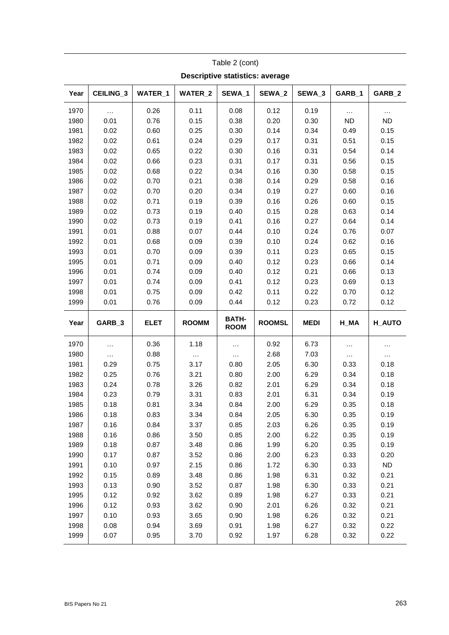| <b>Descriptive statistics: average</b> |              |              |              |                             |               |                   |              |              |
|----------------------------------------|--------------|--------------|--------------|-----------------------------|---------------|-------------------|--------------|--------------|
| Year                                   | CEILING_3    | WATER_1      | WATER_2      | SEWA <sub>1</sub>           | SEWA_2        | SEWA <sub>3</sub> | GARB_1       | GARB_2       |
| 1970                                   | .            | 0.26         | 0.11         | 0.08                        | 0.12          | 0.19              | $\cdots$     |              |
| 1980                                   | 0.01         | 0.76         | 0.15         | 0.38                        | 0.20          | 0.30              | <b>ND</b>    | ND           |
| 1981                                   | 0.02         | 0.60         | 0.25         | 0.30                        | 0.14          | 0.34              | 0.49         | 0.15         |
| 1982                                   | 0.02         | 0.61         | 0.24         | 0.29                        | 0.17          | 0.31              | 0.51         | 0.15         |
| 1983                                   | 0.02         | 0.65         | 0.22         | 0.30                        | 0.16          | 0.31              | 0.54         | 0.14         |
| 1984                                   | 0.02         | 0.66         | 0.23         | 0.31                        | 0.17          | 0.31              | 0.56         | 0.15         |
| 1985                                   | 0.02         | 0.68         | 0.22         | 0.34                        | 0.16          | 0.30              | 0.58         | 0.15         |
| 1986                                   | 0.02         | 0.70         | 0.21         | 0.38                        | 0.14          | 0.29              | 0.58         | 0.16         |
| 1987                                   | 0.02         | 0.70         | 0.20         | 0.34                        | 0.19          | 0.27              | 0.60         | 0.16         |
| 1988                                   | 0.02         | 0.71         | 0.19         | 0.39                        | 0.16          | 0.26              | 0.60         | 0.15         |
| 1989                                   | 0.02         | 0.73         | 0.19         | 0.40                        | 0.15          | 0.28              | 0.63         | 0.14         |
| 1990                                   | 0.02         | 0.73         | 0.19         | 0.41                        | 0.16          | 0.27              | 0.64         | 0.14         |
| 1991                                   | 0.01         | 0.88         | 0.07         | 0.44                        | 0.10          | 0.24              | 0.76         | 0.07         |
| 1992                                   | 0.01         | 0.68         | 0.09         | 0.39                        | 0.10          | 0.24              | 0.62         | 0.16         |
| 1993                                   | 0.01         | 0.70         | 0.09         | 0.39                        | 0.11          | 0.23              | 0.65         | 0.15         |
| 1995                                   | 0.01         | 0.71         | 0.09         | 0.40                        | 0.12          | 0.23              | 0.66         | 0.14         |
| 1996                                   | 0.01         | 0.74         | 0.09         | 0.40                        | 0.12          | 0.21              | 0.66         | 0.13         |
| 1997                                   | 0.01         | 0.74         | 0.09         | 0.41                        | 0.12          | 0.23              | 0.69         | 0.13         |
| 1998                                   | 0.01         | 0.75         | 0.09         | 0.42                        | 0.11          | 0.22              | 0.70         | 0.12         |
| 1999                                   | 0.01         | 0.76         | 0.09         | 0.44                        | 0.12          | 0.23              | 0.72         | 0.12         |
|                                        |              |              |              |                             |               |                   |              |              |
| Year                                   | GARB_3       | <b>ELET</b>  | <b>ROOMM</b> | <b>BATH-</b><br><b>ROOM</b> | <b>ROOMSL</b> | <b>MEDI</b>       | $H_MA$       | H_AUTO       |
| 1970                                   |              | 0.36         | 1.18         | $\ldots$                    | 0.92          | 6.73              | $\ldots$     | $\cdots$     |
| 1980                                   |              | 0.88         | $\cdots$     | $\ldots$                    | 2.68          | 7.03              | $\cdots$     | $\cdots$     |
| 1981                                   | 0.29         | 0.75         | 3.17         | 0.80                        | 2.05          | 6.30              | 0.33         | 0.18         |
| 1982                                   | 0.25         | 0.76         | 3.21         | 0.80                        | 2.00          | 6.29              | 0.34         | 0.18         |
| 1983                                   | 0.24         | 0.78         | 3.26         | 0.82                        | 2.01          | 6.29              | 0.34         | 0.18         |
| 1984                                   | 0.23         | 0.79         | 3.31         | 0.83                        | 2.01          | 6.31              | 0.34         | 0.19         |
| 1985                                   | 0.18         | 0.81         | 3.34         | 0.84                        | 2.00          | 6.29              | 0.35         | 0.18         |
| 1986                                   | 0.18         | 0.83         | 3.34         | 0.84                        | 2.05          | 6.30              | 0.35         | 0.19         |
| 1987                                   | 0.16         | 0.84         | 3.37         | 0.85                        | 2.03          | 6.26              | 0.35         | 0.19         |
| 1988                                   | 0.16         | 0.86         | 3.50         | 0.85                        | 2.00          | 6.22              | 0.35         | 0.19         |
| 1989                                   | 0.18         | 0.87         | 3.48         | 0.86                        | 1.99          | 6.20              | 0.35         | 0.19         |
| 1990                                   | 0.17         | 0.87         | 3.52         | 0.86                        | 2.00          | 6.23              | 0.33         | 0.20         |
| 1991                                   | 0.10         | 0.97         | 2.15         | 0.86                        | 1.72          | 6.30              | 0.33         | <b>ND</b>    |
| 1992                                   | 0.15         | 0.89         | 3.48         | 0.86                        | 1.98          | 6.31              | 0.32         | 0.21         |
| 1993                                   | 0.13         | 0.90         | 3.52         | 0.87                        | 1.98          | 6.30              | 0.33         | 0.21         |
| 1995                                   | 0.12         | 0.92         | 3.62         | 0.89                        | 1.98          | 6.27              | 0.33         | 0.21         |
| 1996                                   | 0.12         | 0.93         | 3.62         | 0.90                        | 2.01          | 6.26              | 0.32         | 0.21         |
| 1997                                   | 0.10         | 0.93         | 3.65         | 0.90                        | 1.98          | 6.26              | 0.32         | 0.21         |
| 1998<br>1999                           | 0.08<br>0.07 | 0.94<br>0.95 | 3.69<br>3.70 | 0.91<br>0.92                | 1.98<br>1.97  | 6.27<br>6.28      | 0.32<br>0.32 | 0.22<br>0.22 |

Table 2 (cont)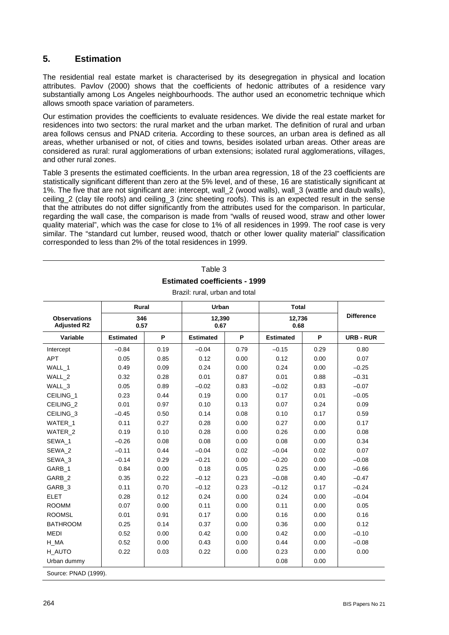### **5. Estimation**

The residential real estate market is characterised by its desegregation in physical and location attributes. Pavlov (2000) shows that the coefficients of hedonic attributes of a residence vary substantially among Los Angeles neighbourhoods. The author used an econometric technique which allows smooth space variation of parameters.

Our estimation provides the coefficients to evaluate residences. We divide the real estate market for residences into two sectors: the rural market and the urban market. The definition of rural and urban area follows census and PNAD criteria. According to these sources, an urban area is defined as all areas, whether urbanised or not, of cities and towns, besides isolated urban areas. Other areas are considered as rural: rural agglomerations of urban extensions; isolated rural agglomerations, villages, and other rural zones.

Table 3 presents the estimated coefficients. In the urban area regression, 18 of the 23 coefficients are statistically significant different than zero at the 5% level, and of these, 16 are statistically significant at 1%. The five that are not significant are: intercept, wall\_2 (wood walls), wall\_3 (wattle and daub walls), ceiling\_2 (clay tile roofs) and ceiling\_3 (zinc sheeting roofs). This is an expected result in the sense that the attributes do not differ significantly from the attributes used for the comparison. In particular, regarding the wall case, the comparison is made from "walls of reused wood, straw and other lower quality material", which was the case for close to 1% of all residences in 1999. The roof case is very similar. The "standard cut lumber, reused wood, thatch or other lower quality material" classification corresponded to less than 2% of the total residences in 1999.

## Table 3 **Estimated coefficients - 1999**

| Rural                                     |                  |      | Urban            |      | <b>Total</b>     |      |                   |  |
|-------------------------------------------|------------------|------|------------------|------|------------------|------|-------------------|--|
| <b>Observations</b><br><b>Adjusted R2</b> | 346<br>0.57      |      | 12,390<br>0.67   |      | 12,736<br>0.68   |      | <b>Difference</b> |  |
| Variable                                  | <b>Estimated</b> | P    | <b>Estimated</b> | P    | <b>Estimated</b> | P    | <b>URB-RUR</b>    |  |
| Intercept                                 | $-0.84$          | 0.19 | $-0.04$          | 0.79 | $-0.15$          | 0.29 | 0.80              |  |
| <b>APT</b>                                | 0.05             | 0.85 | 0.12             | 0.00 | 0.12             | 0.00 | 0.07              |  |
| WALL_1                                    | 0.49             | 0.09 | 0.24             | 0.00 | 0.24             | 0.00 | $-0.25$           |  |
| WALL 2                                    | 0.32             | 0.28 | 0.01             | 0.87 | 0.01             | 0.88 | $-0.31$           |  |
| WALL 3                                    | 0.05             | 0.89 | $-0.02$          | 0.83 | $-0.02$          | 0.83 | $-0.07$           |  |
| CEILING_1                                 | 0.23             | 0.44 | 0.19             | 0.00 | 0.17             | 0.01 | $-0.05$           |  |
| CEILING <sub>2</sub>                      | 0.01             | 0.97 | 0.10             | 0.13 | 0.07             | 0.24 | 0.09              |  |
| CEILING_3                                 | $-0.45$          | 0.50 | 0.14             | 0.08 | 0.10             | 0.17 | 0.59              |  |
| WATER 1                                   | 0.11             | 0.27 | 0.28             | 0.00 | 0.27             | 0.00 | 0.17              |  |
| WATER 2                                   | 0.19             | 0.10 | 0.28             | 0.00 | 0.26             | 0.00 | 0.08              |  |
| SEWA_1                                    | $-0.26$          | 0.08 | 0.08             | 0.00 | 0.08             | 0.00 | 0.34              |  |
| SEWA_2                                    | $-0.11$          | 0.44 | $-0.04$          | 0.02 | $-0.04$          | 0.02 | 0.07              |  |
| SEWA 3                                    | $-0.14$          | 0.29 | $-0.21$          | 0.00 | $-0.20$          | 0.00 | $-0.08$           |  |
| GARB 1                                    | 0.84             | 0.00 | 0.18             | 0.05 | 0.25             | 0.00 | $-0.66$           |  |
| GARB <sub>2</sub>                         | 0.35             | 0.22 | $-0.12$          | 0.23 | $-0.08$          | 0.40 | $-0.47$           |  |
| GARB_3                                    | 0.11             | 0.70 | $-0.12$          | 0.23 | $-0.12$          | 0.17 | $-0.24$           |  |
| <b>ELET</b>                               | 0.28             | 0.12 | 0.24             | 0.00 | 0.24             | 0.00 | $-0.04$           |  |
| <b>ROOMM</b>                              | 0.07             | 0.00 | 0.11             | 0.00 | 0.11             | 0.00 | 0.05              |  |
| <b>ROOMSL</b>                             | 0.01             | 0.91 | 0.17             | 0.00 | 0.16             | 0.00 | 0.16              |  |
| <b>BATHROOM</b>                           | 0.25             | 0.14 | 0.37             | 0.00 | 0.36             | 0.00 | 0.12              |  |
| <b>MEDI</b>                               | 0.52             | 0.00 | 0.42             | 0.00 | 0.42             | 0.00 | $-0.10$           |  |
| H MA                                      | 0.52             | 0.00 | 0.43             | 0.00 | 0.44             | 0.00 | $-0.08$           |  |
| H AUTO                                    | 0.22             | 0.03 | 0.22             | 0.00 | 0.23             | 0.00 | 0.00              |  |
| Urban dummy                               |                  |      |                  |      | 0.08             | 0.00 |                   |  |
| Source: PNAD (1999).                      |                  |      |                  |      |                  |      |                   |  |

Brazil: rural, urban and total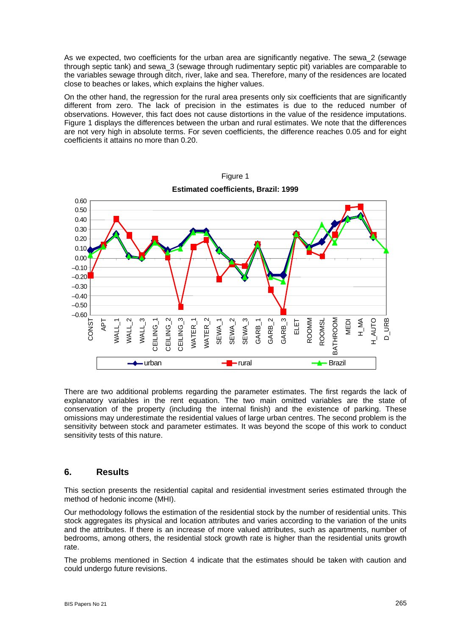As we expected, two coefficients for the urban area are significantly negative. The sewa\_2 (sewage through septic tank) and sewa\_3 (sewage through rudimentary septic pit) variables are comparable to the variables sewage through ditch, river, lake and sea. Therefore, many of the residences are located close to beaches or lakes, which explains the higher values.

On the other hand, the regression for the rural area presents only six coefficients that are significantly different from zero. The lack of precision in the estimates is due to the reduced number of observations. However, this fact does not cause distortions in the value of the residence imputations. Figure 1 displays the differences between the urban and rural estimates. We note that the differences are not very high in absolute terms. For seven coefficients, the difference reaches 0.05 and for eight coefficients it attains no more than 0.20.



Figure 1

There are two additional problems regarding the parameter estimates. The first regards the lack of explanatory variables in the rent equation. The two main omitted variables are the state of conservation of the property (including the internal finish) and the existence of parking. These omissions may underestimate the residential values of large urban centres. The second problem is the sensitivity between stock and parameter estimates. It was beyond the scope of this work to conduct sensitivity tests of this nature.

#### **6. Results**

This section presents the residential capital and residential investment series estimated through the method of hedonic income (MHI).

Our methodology follows the estimation of the residential stock by the number of residential units. This stock aggregates its physical and location attributes and varies according to the variation of the units and the attributes. If there is an increase of more valued attributes, such as apartments, number of bedrooms, among others, the residential stock growth rate is higher than the residential units growth rate.

The problems mentioned in Section 4 indicate that the estimates should be taken with caution and could undergo future revisions.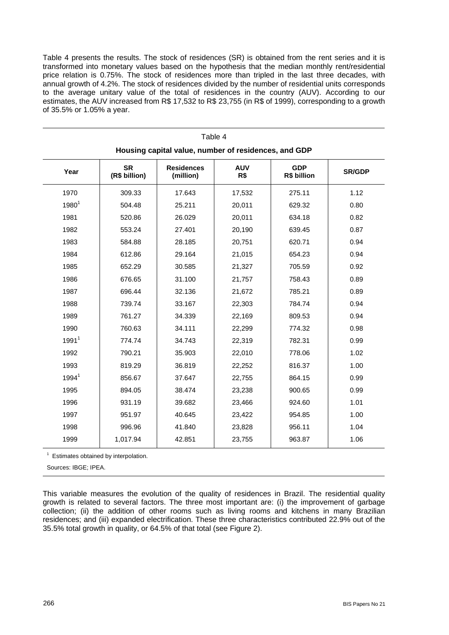Table 4 presents the results. The stock of residences (SR) is obtained from the rent series and it is transformed into monetary values based on the hypothesis that the median monthly rent/residential price relation is 0.75%. The stock of residences more than tripled in the last three decades, with annual growth of 4.2%. The stock of residences divided by the number of residential units corresponds to the average unitary value of the total of residences in the country (AUV). According to our estimates, the AUV increased from R\$ 17,532 to R\$ 23,755 (in R\$ of 1999), corresponding to a growth of 35.5% or 1.05% a year.

Table 4

| Housing capital value, number of residences, and GDP |                            |                                |                   |        |               |  |  |
|------------------------------------------------------|----------------------------|--------------------------------|-------------------|--------|---------------|--|--|
| Year                                                 | <b>SR</b><br>(R\$ billion) | <b>Residences</b><br>(million) | <b>AUV</b><br>R\$ |        | <b>SR/GDP</b> |  |  |
| 1970                                                 | 309.33                     | 17.643                         | 17,532            | 275.11 | 1.12          |  |  |
| $1980^{1}$                                           | 504.48                     | 25.211                         | 20,011            | 629.32 | 0.80          |  |  |
| 1981                                                 | 520.86                     | 26.029                         | 20,011            | 634.18 | 0.82          |  |  |
| 1982                                                 | 553.24                     | 27.401                         | 20,190            | 639.45 | 0.87          |  |  |
| 1983                                                 | 584.88                     | 28.185                         | 20,751            | 620.71 | 0.94          |  |  |
| 1984                                                 | 612.86                     | 29.164                         | 21,015            | 654.23 | 0.94          |  |  |
| 1985                                                 | 652.29                     | 30.585                         | 21,327            | 705.59 | 0.92          |  |  |
| 1986                                                 | 676.65                     | 31.100                         | 21,757            | 758.43 | 0.89          |  |  |
| 1987                                                 | 696.44                     | 32.136                         | 21,672            | 785.21 | 0.89          |  |  |
| 1988                                                 | 739.74                     | 33.167                         | 22,303            | 784.74 | 0.94          |  |  |
| 1989                                                 | 761.27                     | 34.339                         | 22,169            | 809.53 | 0.94          |  |  |
| 1990                                                 | 760.63                     | 34.111                         | 22,299            | 774.32 | 0.98          |  |  |
| 1991 <sup>1</sup>                                    | 774.74                     | 34.743                         | 22,319            | 782.31 | 0.99          |  |  |
| 1992                                                 | 790.21                     | 35.903                         | 22,010            | 778.06 | 1.02          |  |  |
| 1993                                                 | 819.29                     | 36.819                         | 22,252            | 816.37 | 1.00          |  |  |
| 1994 <sup>1</sup>                                    | 856.67                     | 37.647                         | 22,755            | 864.15 | 0.99          |  |  |
| 1995                                                 | 894.05                     | 38.474                         | 23,238            | 900.65 | 0.99          |  |  |
| 1996                                                 | 931.19                     | 39.682                         | 23,466            | 924.60 | 1.01          |  |  |
| 1997                                                 | 951.97                     | 40.645                         | 23,422            | 954.85 | 1.00          |  |  |
| 1998                                                 | 996.96                     | 41.840                         | 23,828            | 956.11 | 1.04          |  |  |
| 1999                                                 | 1,017.94                   | 42.851                         | 23,755            | 963.87 | 1.06          |  |  |

<sup>1</sup> Estimates obtained by interpolation.

Sources: IBGE; IPEA.

This variable measures the evolution of the quality of residences in Brazil. The residential quality growth is related to several factors. The three most important are: (i) the improvement of garbage collection; (ii) the addition of other rooms such as living rooms and kitchens in many Brazilian residences; and (iii) expanded electrification. These three characteristics contributed 22.9% out of the 35.5% total growth in quality, or 64.5% of that total (see Figure 2).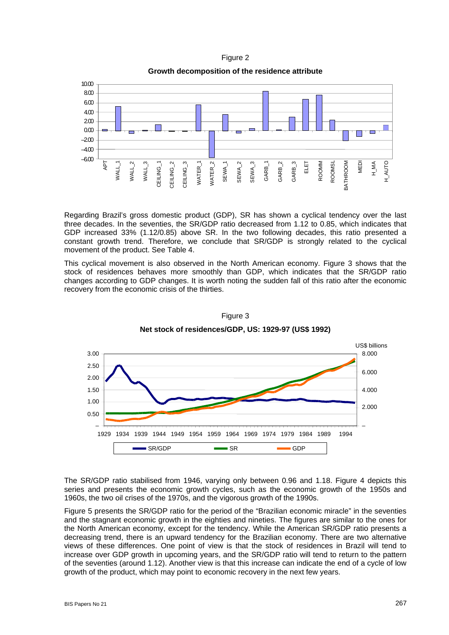Figure 2

**Growth decomposition of the residence attribute** 



Regarding Brazil's gross domestic product (GDP), SR has shown a cyclical tendency over the last three decades. In the seventies, the SR/GDP ratio decreased from 1.12 to 0.85, which indicates that GDP increased 33% (1.12/0.85) above SR. In the two following decades, this ratio presented a constant growth trend. Therefore, we conclude that SR/GDP is strongly related to the cyclical movement of the product. See Table 4.

This cyclical movement is also observed in the North American economy. Figure 3 shows that the stock of residences behaves more smoothly than GDP, which indicates that the SR/GDP ratio changes according to GDP changes. It is worth noting the sudden fall of this ratio after the economic recovery from the economic crisis of the thirties.



Figure 3 **Net stock of residences/GDP, US: 1929-97 (US\$ 1992)** 

The SR/GDP ratio stabilised from 1946, varying only between 0.96 and 1.18. Figure 4 depicts this series and presents the economic growth cycles, such as the economic growth of the 1950s and 1960s, the two oil crises of the 1970s, and the vigorous growth of the 1990s.

Figure 5 presents the SR/GDP ratio for the period of the "Brazilian economic miracle" in the seventies and the stagnant economic growth in the eighties and nineties. The figures are similar to the ones for the North American economy, except for the tendency. While the American SR/GDP ratio presents a decreasing trend, there is an upward tendency for the Brazilian economy. There are two alternative views of these differences. One point of view is that the stock of residences in Brazil will tend to increase over GDP growth in upcoming years, and the SR/GDP ratio will tend to return to the pattern of the seventies (around 1.12). Another view is that this increase can indicate the end of a cycle of low growth of the product, which may point to economic recovery in the next few years.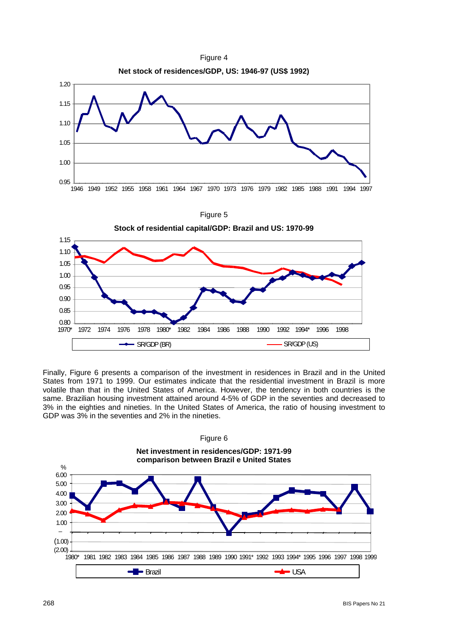

Finally, Figure 6 presents a comparison of the investment in residences in Brazil and in the United States from 1971 to 1999. Our estimates indicate that the residential investment in Brazil is more volatile than that in the United States of America. However, the tendency in both countries is the same. Brazilian housing investment attained around 4-5% of GDP in the seventies and decreased to 3% in the eighties and nineties. In the United States of America, the ratio of housing investment to GDP was 3% in the seventies and 2% in the nineties.

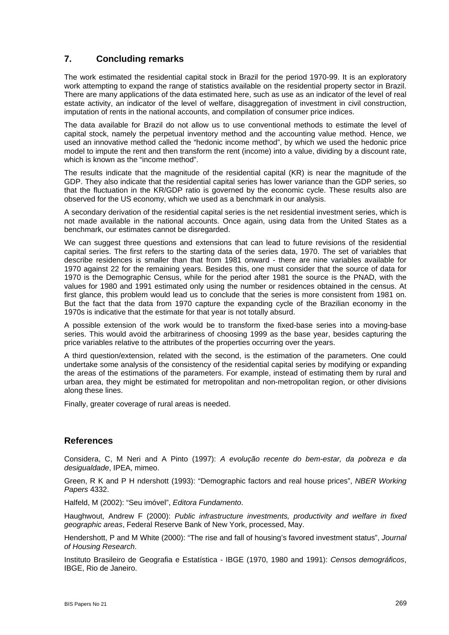## **7. Concluding remarks**

The work estimated the residential capital stock in Brazil for the period 1970-99. It is an exploratory work attempting to expand the range of statistics available on the residential property sector in Brazil. There are many applications of the data estimated here, such as use as an indicator of the level of real estate activity, an indicator of the level of welfare, disaggregation of investment in civil construction, imputation of rents in the national accounts, and compilation of consumer price indices.

The data available for Brazil do not allow us to use conventional methods to estimate the level of capital stock, namely the perpetual inventory method and the accounting value method. Hence, we used an innovative method called the "hedonic income method", by which we used the hedonic price model to impute the rent and then transform the rent (income) into a value, dividing by a discount rate, which is known as the "income method".

The results indicate that the magnitude of the residential capital (KR) is near the magnitude of the GDP. They also indicate that the residential capital series has lower variance than the GDP series, so that the fluctuation in the KR/GDP ratio is governed by the economic cycle. These results also are observed for the US economy, which we used as a benchmark in our analysis.

A secondary derivation of the residential capital series is the net residential investment series, which is not made available in the national accounts. Once again, using data from the United States as a benchmark, our estimates cannot be disregarded.

We can suggest three questions and extensions that can lead to future revisions of the residential capital series. The first refers to the starting data of the series data, 1970. The set of variables that describe residences is smaller than that from 1981 onward - there are nine variables available for 1970 against 22 for the remaining years. Besides this, one must consider that the source of data for 1970 is the Demographic Census, while for the period after 1981 the source is the PNAD, with the values for 1980 and 1991 estimated only using the number or residences obtained in the census. At first glance, this problem would lead us to conclude that the series is more consistent from 1981 on. But the fact that the data from 1970 capture the expanding cycle of the Brazilian economy in the 1970s is indicative that the estimate for that year is not totally absurd.

A possible extension of the work would be to transform the fixed-base series into a moving-base series. This would avoid the arbitrariness of choosing 1999 as the base year, besides capturing the price variables relative to the attributes of the properties occurring over the years.

A third question/extension, related with the second, is the estimation of the parameters. One could undertake some analysis of the consistency of the residential capital series by modifying or expanding the areas of the estimations of the parameters. For example, instead of estimating them by rural and urban area, they might be estimated for metropolitan and non-metropolitan region, or other divisions along these lines.

Finally, greater coverage of rural areas is needed.

#### **References**

Considera, C, M Neri and A Pinto (1997): *A evolução recente do bem-estar, da pobreza e da desigualdade*, IPEA, mimeo.

Green, R K and P H ndershott (1993): "Demographic factors and real house prices", *NBER Working Papers* 4332.

Halfeld, M (2002): "Seu imóvel", *Editora Fundamento*.

Haughwout, Andrew F (2000): *Public infrastructure investments, productivity and welfare in fixed geographic areas*, Federal Reserve Bank of New York, processed, May.

Hendershott, P and M White (2000): "The rise and fall of housing's favored investment status", *Journal of Housing Research*.

Instituto Brasileiro de Geografia e Estatística - IBGE (1970, 1980 and 1991): *Censos demográficos*, IBGE, Rio de Janeiro.